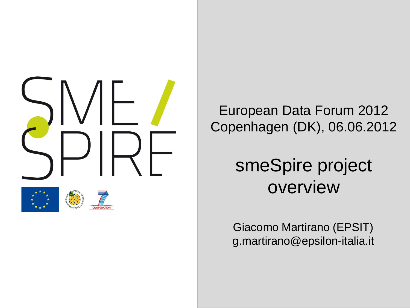

European Data Forum 2012 Copenhagen (DK), 06.06.2012

#### smeSpire project overview

Giacomo Martirano (EPSIT) g.martirano@epsilon-italia.it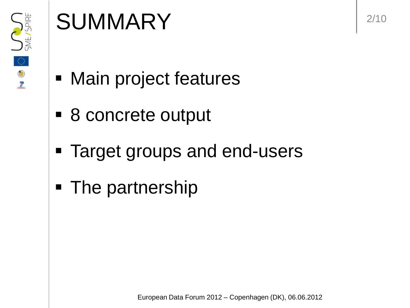

# SUMMARY 2/10

- **Main project features**
- 8 concrete output
- **Target groups and end-users**
- The partnership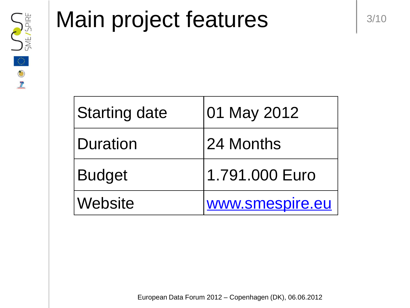

### Main project features and the state

| <b>Starting date</b>  | 01 May 2012     |
|-----------------------|-----------------|
| <b>Duration</b>       | 24 Months       |
| <b>Budget</b>         | 1.791.000 Euro  |
| <i><b>Website</b></i> | www.smespire.eu |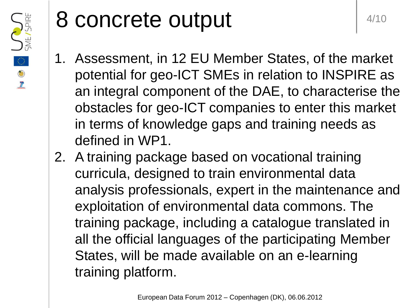

### 8 concrete output and the set of  $4/10$

- 1. Assessment, in 12 EU Member States, of the market potential for geo-ICT SMEs in relation to INSPIRE as an integral component of the DAE, to characterise the obstacles for geo-ICT companies to enter this market in terms of knowledge gaps and training needs as defined in WP1.
- 2. A training package based on vocational training curricula, designed to train environmental data analysis professionals, expert in the maintenance and exploitation of environmental data commons. The training package, including a catalogue translated in all the official languages of the participating Member States, will be made available on an e-learning training platform.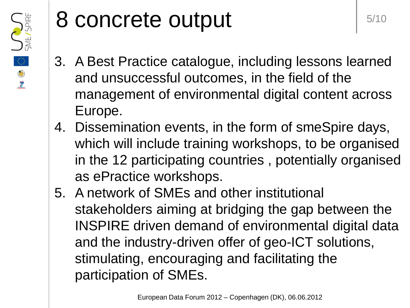

#### 8 concrete output s/10

- 3. A Best Practice catalogue, including lessons learned and unsuccessful outcomes, in the field of the management of environmental digital content across Europe.
- 4. Dissemination events, in the form of smeSpire days, which will include training workshops, to be organised in the 12 participating countries , potentially organised as ePractice workshops.
- 5. A network of SMEs and other institutional stakeholders aiming at bridging the gap between the INSPIRE driven demand of environmental digital data and the industry-driven offer of geo-ICT solutions, stimulating, encouraging and facilitating the participation of SMEs.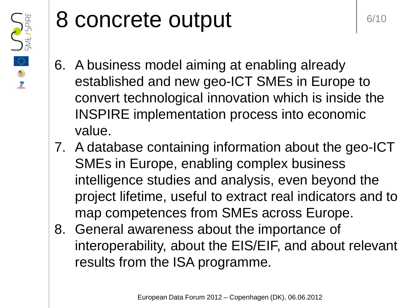

### 8 concrete output and the second  $\mathsf{S}$  and  $\mathsf{S}$  and  $\mathsf{S}$

- 6. A business model aiming at enabling already established and new geo-ICT SMEs in Europe to convert technological innovation which is inside the INSPIRE implementation process into economic value.
- 7. A database containing information about the geo-ICT SMEs in Europe, enabling complex business intelligence studies and analysis, even beyond the project lifetime, useful to extract real indicators and to map competences from SMEs across Europe.
- 8. General awareness about the importance of interoperability, about the EIS/EIF, and about relevant results from the ISA programme.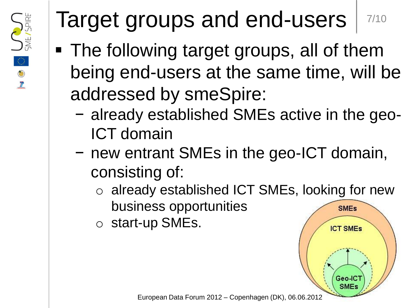

# Target groups and end-users | 7/10

- The following target groups, all of them being end-users at the same time, will be addressed by smeSpire:
	- − already established SMEs active in the geo-ICT domain
	- − new entrant SMEs in the geo-ICT domain, consisting of:
		- o already established ICT SMEs, looking for new business opportunities **SMEs**

**ICT SMEs** 

Geo-IC<sup>®</sup> **SMEs** 

o start-up SMEs.

European Data Forum 2012 – Copenhagen (DK), 06.06.2012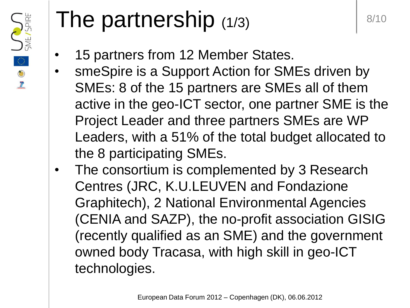

# The partnership  $(1/3)$   $\left| \begin{array}{c} 8/10 \\ \end{array} \right|$

- 15 partners from 12 Member States.
- smeSpire is a Support Action for SMEs driven by SMEs: 8 of the 15 partners are SMEs all of them active in the geo-ICT sector, one partner SME is the Project Leader and three partners SMEs are WP Leaders, with a 51% of the total budget allocated to the 8 participating SMEs.
- The consortium is complemented by 3 Research Centres (JRC, K.U.LEUVEN and Fondazione Graphitech), 2 National Environmental Agencies (CENIA and SAZP), the no-profit association GISIG (recently qualified as an SME) and the government owned body Tracasa, with high skill in geo-ICT technologies.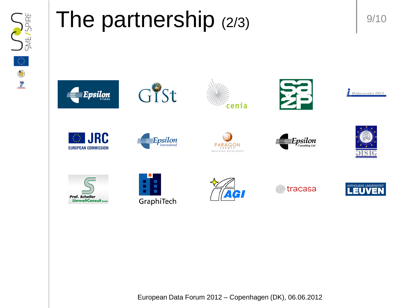

# The partnership  $(2/3)$  |  $9/10$



























▒ tracasa



European Data Forum 2012 – Copenhagen (DK), 06.06.2012